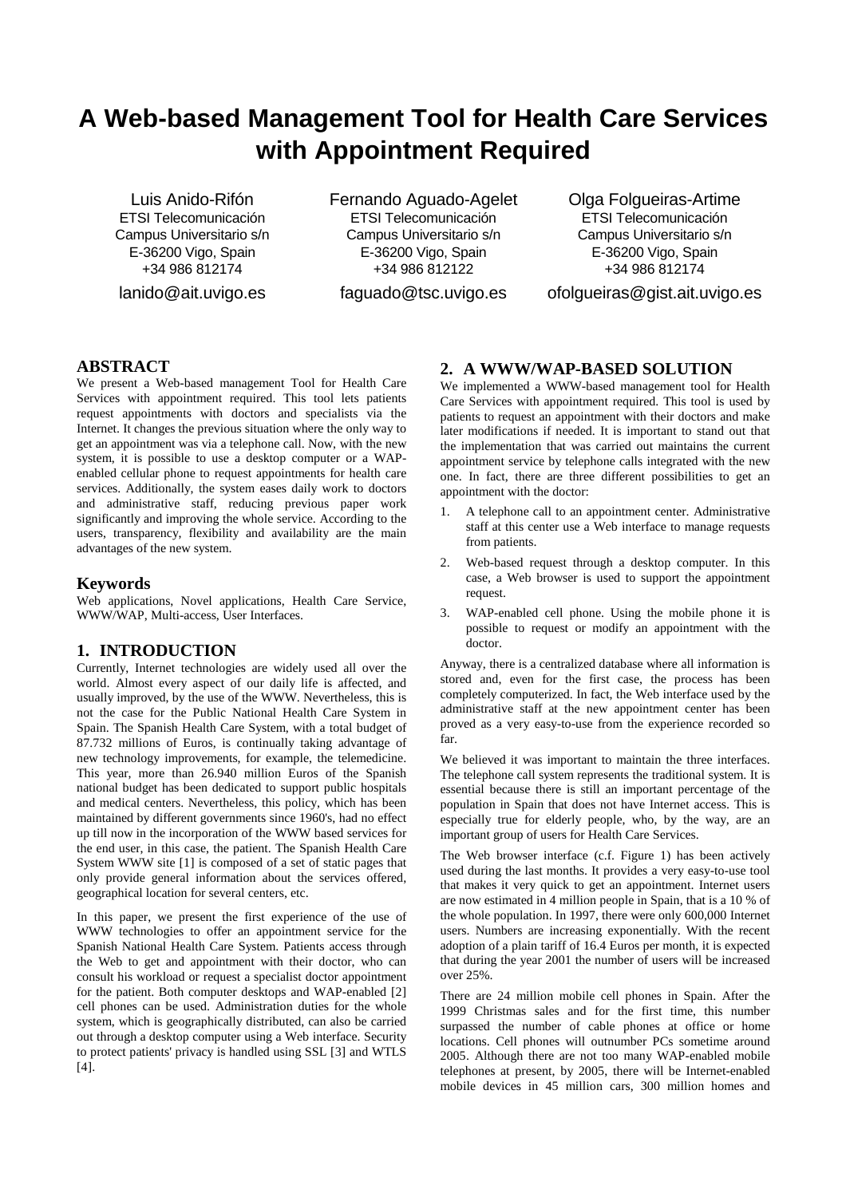# **A Web-based Management Tool for Health Care Services with Appointment Required**

Luis Anido-Rifón ETSI Telecomunicación Campus Universitario s/n E-36200 Vigo, Spain +34 986 812174

lanido@ait.uvigo.es

Fernando Aguado-Agelet ETSI Telecomunicación Campus Universitario s/n E-36200 Vigo, Spain +34 986 812122

faguado@tsc.uvigo.es

Olga Folgueiras-Artime ETSI Telecomunicación Campus Universitario s/n E-36200 Vigo, Spain +34 986 812174

ofolgueiras@gist.ait.uvigo.es

# **ABSTRACT**

We present a Web-based management Tool for Health Care Services with appointment required. This tool lets patients request appointments with doctors and specialists via the Internet. It changes the previous situation where the only way to get an appointment was via a telephone call. Now, with the new system, it is possible to use a desktop computer or a WAPenabled cellular phone to request appointments for health care services. Additionally, the system eases daily work to doctors and administrative staff, reducing previous paper work significantly and improving the whole service. According to the users, transparency, flexibility and availability are the main advantages of the new system.

### **Keywords**

Web applications, Novel applications, Health Care Service, WWW/WAP, Multi-access, User Interfaces.

## **1. INTRODUCTION**

Currently, Internet technologies are widely used all over the world. Almost every aspect of our daily life is affected, and usually improved, by the use of the WWW. Nevertheless, this is not the case for the Public National Health Care System in Spain. The Spanish Health Care System, with a total budget of 87.732 millions of Euros, is continually taking advantage of new technology improvements, for example, the telemedicine. This year, more than 26.940 million Euros of the Spanish national budget has been dedicated to support public hospitals and medical centers. Nevertheless, this policy, which has been maintained by different governments since 1960's, had no effect up till now in the incorporation of the WWW based services for the end user, in this case, the patient. The Spanish Health Care System WWW site [1] is composed of a set of static pages that only provide general information about the services offered, geographical location for several centers, etc.

In this paper, we present the first experience of the use of WWW technologies to offer an appointment service for the Spanish National Health Care System. Patients access through the Web to get and appointment with their doctor, who can consult his workload or request a specialist doctor appointment for the patient. Both computer desktops and WAP-enabled [2] cell phones can be used. Administration duties for the whole system, which is geographically distributed, can also be carried out through a desktop computer using a Web interface. Security to protect patients' privacy is handled using SSL [3] and WTLS [4].

# **2. A WWW/WAP-BASED SOLUTION**

We implemented a WWW-based management tool for Health Care Services with appointment required. This tool is used by patients to request an appointment with their doctors and make later modifications if needed. It is important to stand out that the implementation that was carried out maintains the current appointment service by telephone calls integrated with the new one. In fact, there are three different possibilities to get an appointment with the doctor:

- 1. A telephone call to an appointment center. Administrative staff at this center use a Web interface to manage requests from patients.
- 2. Web-based request through a desktop computer. In this case, a Web browser is used to support the appointment request.
- 3. WAP-enabled cell phone. Using the mobile phone it is possible to request or modify an appointment with the doctor.

Anyway, there is a centralized database where all information is stored and, even for the first case, the process has been completely computerized. In fact, the Web interface used by the administrative staff at the new appointment center has been proved as a very easy-to-use from the experience recorded so far.

We believed it was important to maintain the three interfaces. The telephone call system represents the traditional system. It is essential because there is still an important percentage of the population in Spain that does not have Internet access. This is especially true for elderly people, who, by the way, are an important group of users for Health Care Services.

The Web browser interface (c.f. Figure 1) has been actively used during the last months. It provides a very easy-to-use tool that makes it very quick to get an appointment. Internet users are now estimated in 4 million people in Spain, that is a 10 % of the whole population. In 1997, there were only 600,000 Internet users. Numbers are increasing exponentially. With the recent adoption of a plain tariff of 16.4 Euros per month, it is expected that during the year 2001 the number of users will be increased over 25%.

There are 24 million mobile cell phones in Spain. After the 1999 Christmas sales and for the first time, this number surpassed the number of cable phones at office or home locations. Cell phones will outnumber PCs sometime around 2005. Although there are not too many WAP-enabled mobile telephones at present, by 2005, there will be Internet-enabled mobile devices in 45 million cars, 300 million homes and